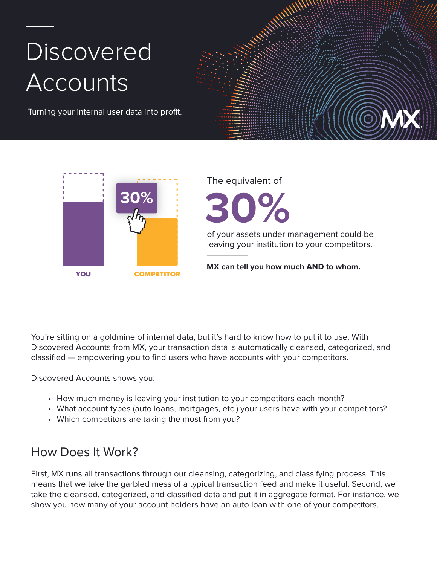## **Discovered** Accounts

Turning your internal user data into profit.



The equivalent of

**30%**

of your assets under management could be leaving your institution to your competitors.

**MX can tell you how much AND to whom.** 

You're sitting on a goldmine of internal data, but it's hard to know how to put it to use. With Discovered Accounts from MX, your transaction data is automatically cleansed, categorized, and classified — empowering you to find users who have accounts with your competitors.

Discovered Accounts shows you:

- How much money is leaving your institution to your competitors each month?
- What account types (auto loans, mortgages, etc.) your users have with your competitors?
- Which competitors are taking the most from you?

## How Does It Work?

First, MX runs all transactions through our cleansing, categorizing, and classifying process. This means that we take the garbled mess of a typical transaction feed and make it useful. Second, we take the cleansed, categorized, and classified data and put it in aggregate format. For instance, we show you how many of your account holders have an auto loan with one of your competitors.